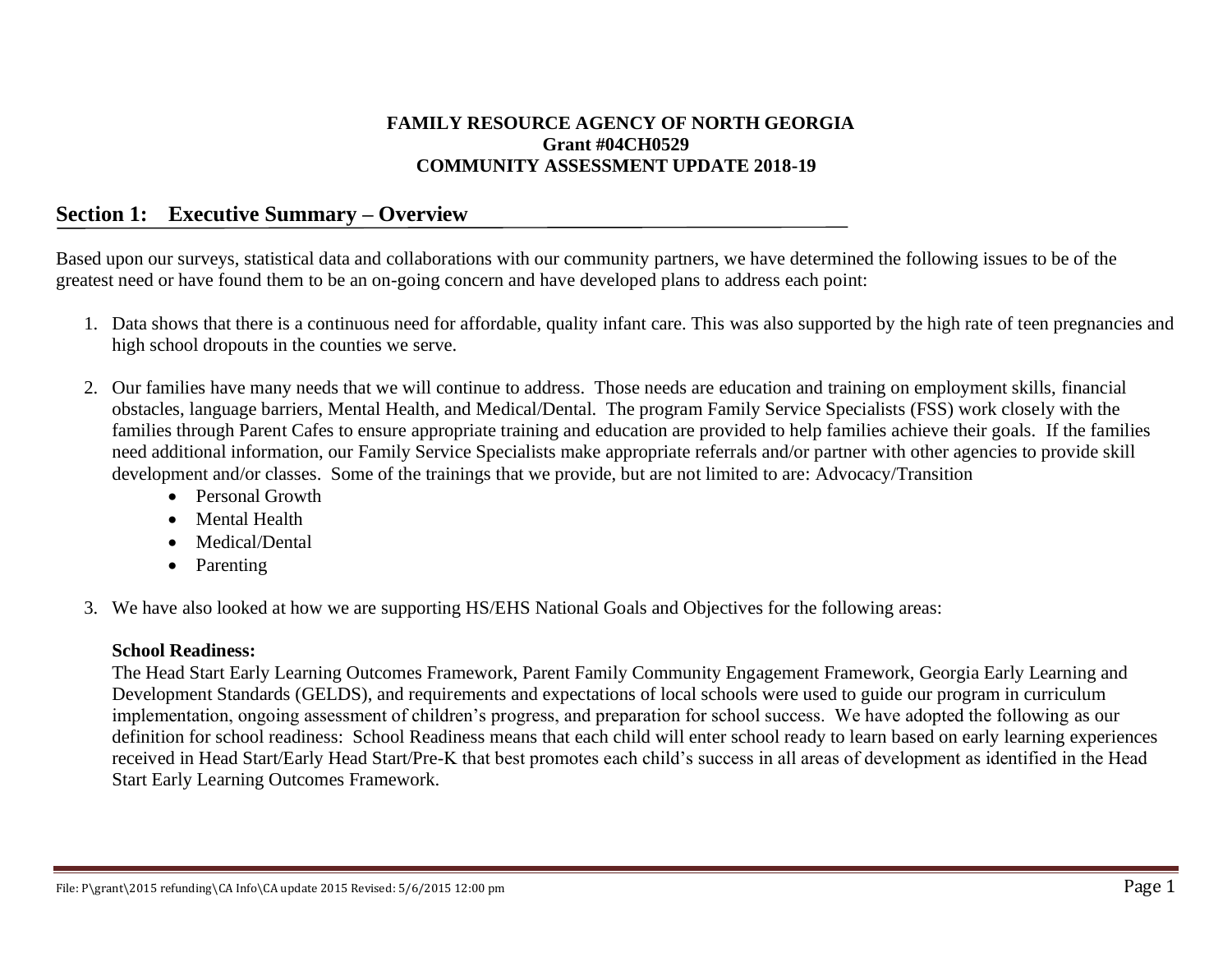#### **FAMILY RESOURCE AGENCY OF NORTH GEORGIA Grant #04CH0529 COMMUNITY ASSESSMENT UPDATE 2018-19**

#### **Section 1: Executive Summary – Overview**

Based upon our surveys, statistical data and collaborations with our community partners, we have determined the following issues to be of the greatest need or have found them to be an on-going concern and have developed plans to address each point:

- 1. Data shows that there is a continuous need for affordable, quality infant care. This was also supported by the high rate of teen pregnancies and high school dropouts in the counties we serve.
- 2. Our families have many needs that we will continue to address. Those needs are education and training on employment skills, financial obstacles, language barriers, Mental Health, and Medical/Dental. The program Family Service Specialists (FSS) work closely with the families through Parent Cafes to ensure appropriate training and education are provided to help families achieve their goals. If the families need additional information, our Family Service Specialists make appropriate referrals and/or partner with other agencies to provide skill development and/or classes. Some of the trainings that we provide, but are not limited to are: Advocacy/Transition
	- Personal Growth
	- Mental Health
	- Medical/Dental
	- Parenting
- 3. We have also looked at how we are supporting HS/EHS National Goals and Objectives for the following areas:

#### **School Readiness:**

The Head Start Early Learning Outcomes Framework, Parent Family Community Engagement Framework, Georgia Early Learning and Development Standards (GELDS), and requirements and expectations of local schools were used to guide our program in curriculum implementation, ongoing assessment of children's progress, and preparation for school success. We have adopted the following as our definition for school readiness: School Readiness means that each child will enter school ready to learn based on early learning experiences received in Head Start/Early Head Start/Pre-K that best promotes each child's success in all areas of development as identified in the Head Start Early Learning Outcomes Framework.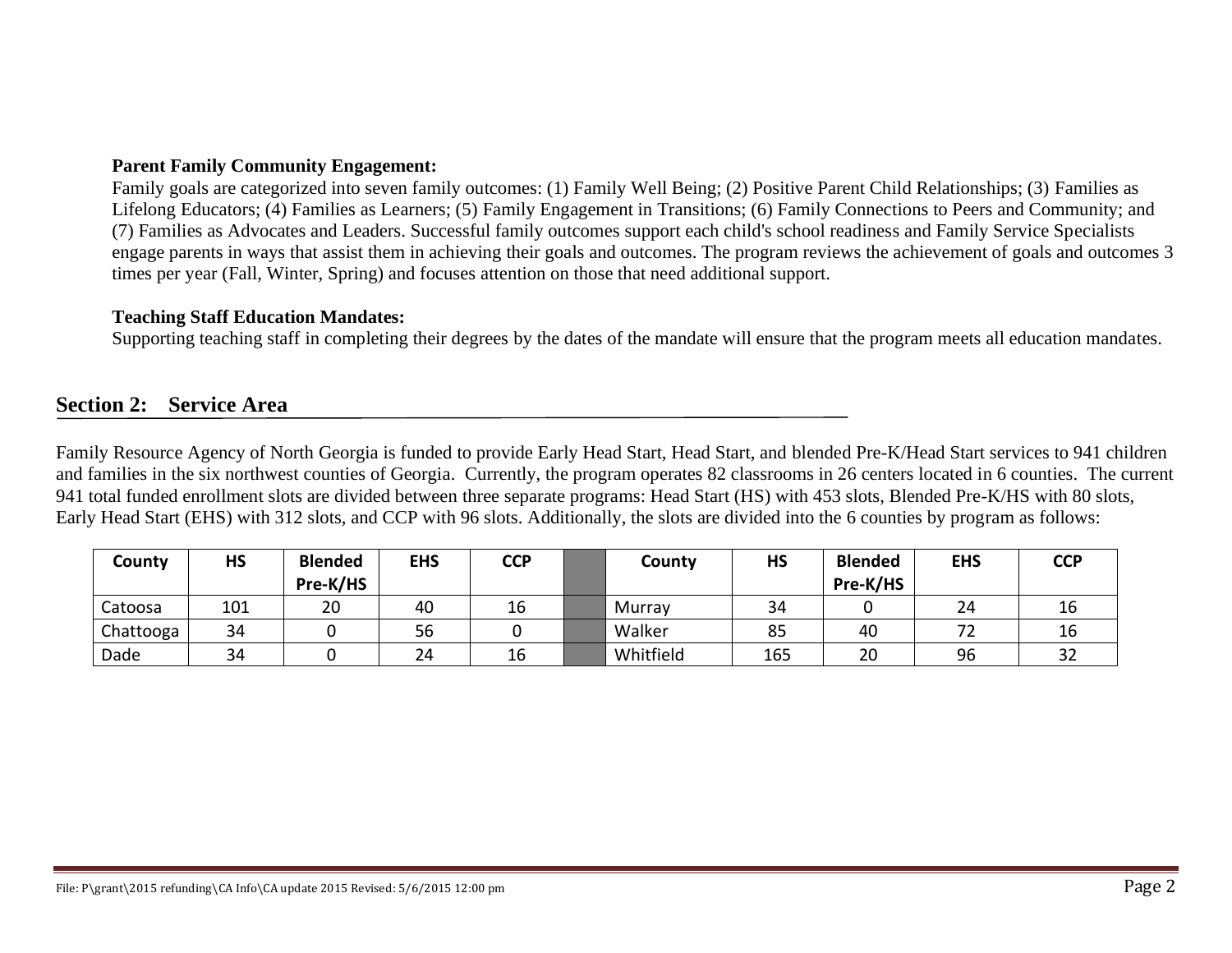#### **Parent Family Community Engagement:**

Family goals are categorized into seven family outcomes: (1) Family Well Being; (2) Positive Parent Child Relationships; (3) Families as Lifelong Educators; (4) Families as Learners; (5) Family Engagement in Transitions; (6) Family Connections to Peers and Community; and (7) Families as Advocates and Leaders. Successful family outcomes support each child's school readiness and Family Service Specialists engage parents in ways that assist them in achieving their goals and outcomes. The program reviews the achievement of goals and outcomes 3 times per year (Fall, Winter, Spring) and focuses attention on those that need additional support.

#### **Teaching Staff Education Mandates:**

Supporting teaching staff in completing their degrees by the dates of the mandate will ensure that the program meets all education mandates.

# **Section 2: Service Area**

Family Resource Agency of North Georgia is funded to provide Early Head Start, Head Start, and blended Pre-K/Head Start services to 941 children and families in the six northwest counties of Georgia. Currently, the program operates 82 classrooms in 26 centers located in 6 counties. The current 941 total funded enrollment slots are divided between three separate programs: Head Start (HS) with 453 slots, Blended Pre-K/HS with 80 slots, Early Head Start (EHS) with 312 slots, and CCP with 96 slots. Additionally, the slots are divided into the 6 counties by program as follows:

| County    | <b>HS</b> | <b>Blended</b><br>Pre-K/HS | <b>EHS</b> | <b>CCP</b> | County    | <b>HS</b> | <b>Blended</b><br>Pre-K/HS | <b>EHS</b> | <b>CCP</b>   |
|-----------|-----------|----------------------------|------------|------------|-----------|-----------|----------------------------|------------|--------------|
| Catoosa   | 101       | 20                         | 40         | 16         | Murray    | 34        |                            | 24         | 16           |
| Chattooga | 34        |                            | 56         |            | Walker    | 85        | 40                         |            | 16           |
| Dade      | 34        |                            | 24         | 16         | Whitfield | 165       | 20                         | 96         | $\sim$<br>ЭZ |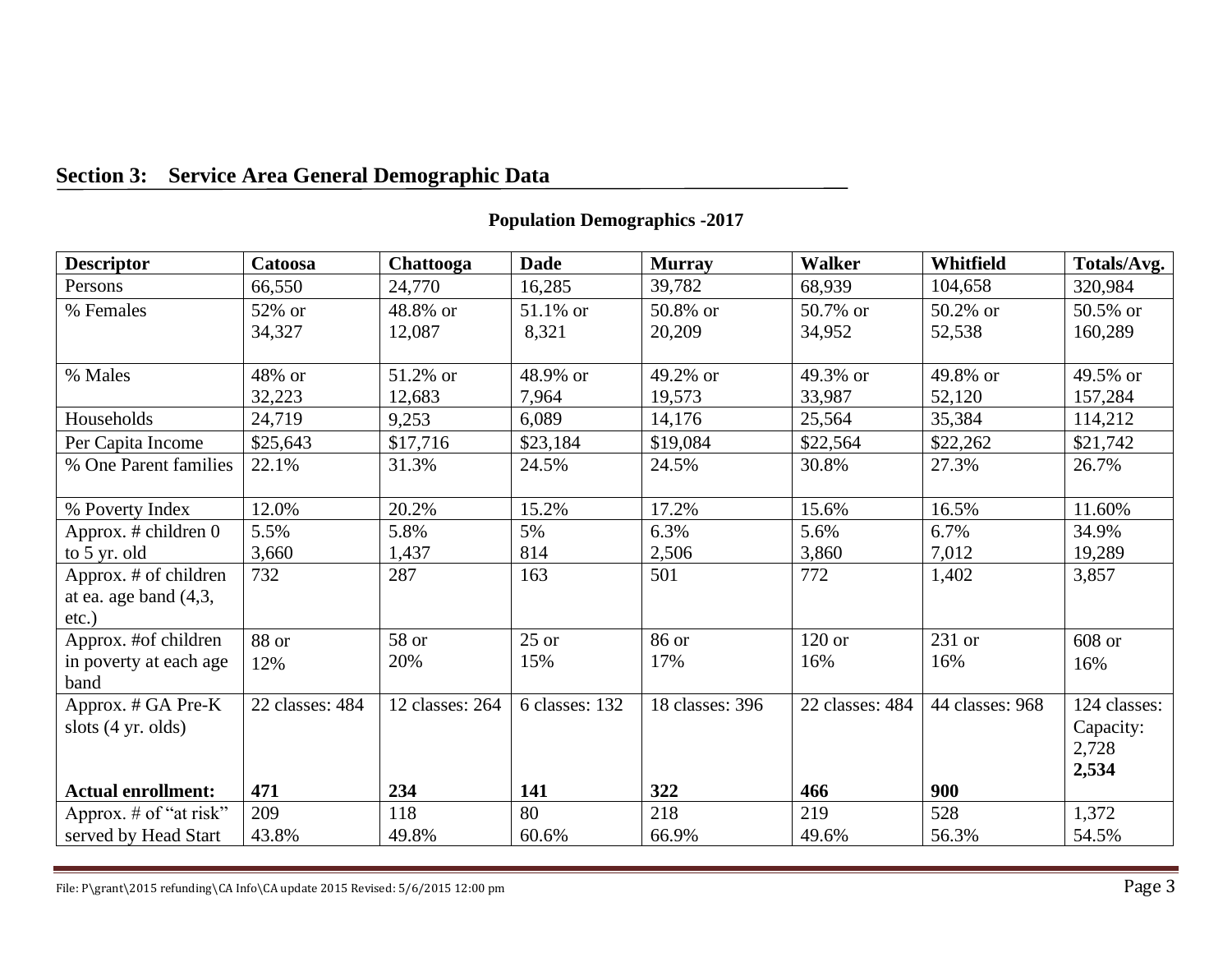# **Section 3: Service Area General Demographic Data**

#### **Descriptor Catoosa Chattooga Dade Murray Walker Whitfield Totals/Avg.** Persons 66,550 24,770 16,285 39,782 68,939 104,658 320,984 % Females  $\vert$  52% or 34,327 48.8% or 12,087 51.1% or 8,321 50.8% or 20,209 50.7% or 34,952 50.2% or 52,538 50.5% or 160,289 % Males  $|48\% \text{ or }$ 32,223 51.2% or 12,683 48.9% or 7,964 49.2% or 19,573 49.3% or 33,987 49.8% or 52,120 49.5% or 157,284 Households 24,719 9,253 6,089 14,176 25,564 35,384 114,212 Per Capita Income \$25,643 \$17,716 \$23,184 \$19,084 \$22,564 \$22,262 \$21,742 % One Parent families 22.1% 31.3% 24.5% 24.5% 30.8% 27.3% 26.7% % Poverty Index 12.0% 20.2% 15.2% 17.2% 17.2% 15.6% 16.5% 16.5% 11.60% Approx. # children 0 to 5 yr. old 5.5% 3,660 5.8% 1,437 5% 814 6.3% 2,506 5.6% 3,860 6.7% 7,012 34.9% 19,289 Approx. # of children at ea. age band (4,3, etc.) 732 287 163 501 772 1,402 3,857 Approx. #of children in poverty at each age band 88 or 12% 58 or 20% 25 or 15% 86 or 17% 120 or 16% 231 or 16% 608 or 16% Approx. # GA Pre-K slots (4 yr. olds) **Actual enrollment:** 22 classes: 484 **471** 12 classes: 264 **234** 6 classes: 132 **141** 18 classes: 396 **322** 22 classes: 484 **466** 44 classes: 968 **900** 124 classes: Capacity: 2,728 **2,534** Approx.  $\#$  of "at risk" served by Head Start 209 43.8% 118 49.8% 80 60.6% 218 66.9% 219 49.6% 528 56.3% 1,372 54.5%

#### **Population Demographics -2017**

File: P\grant\2015 refunding\CA Info\CA update 2015 Revised:  $5/6/2015$  12:00 pm Page 3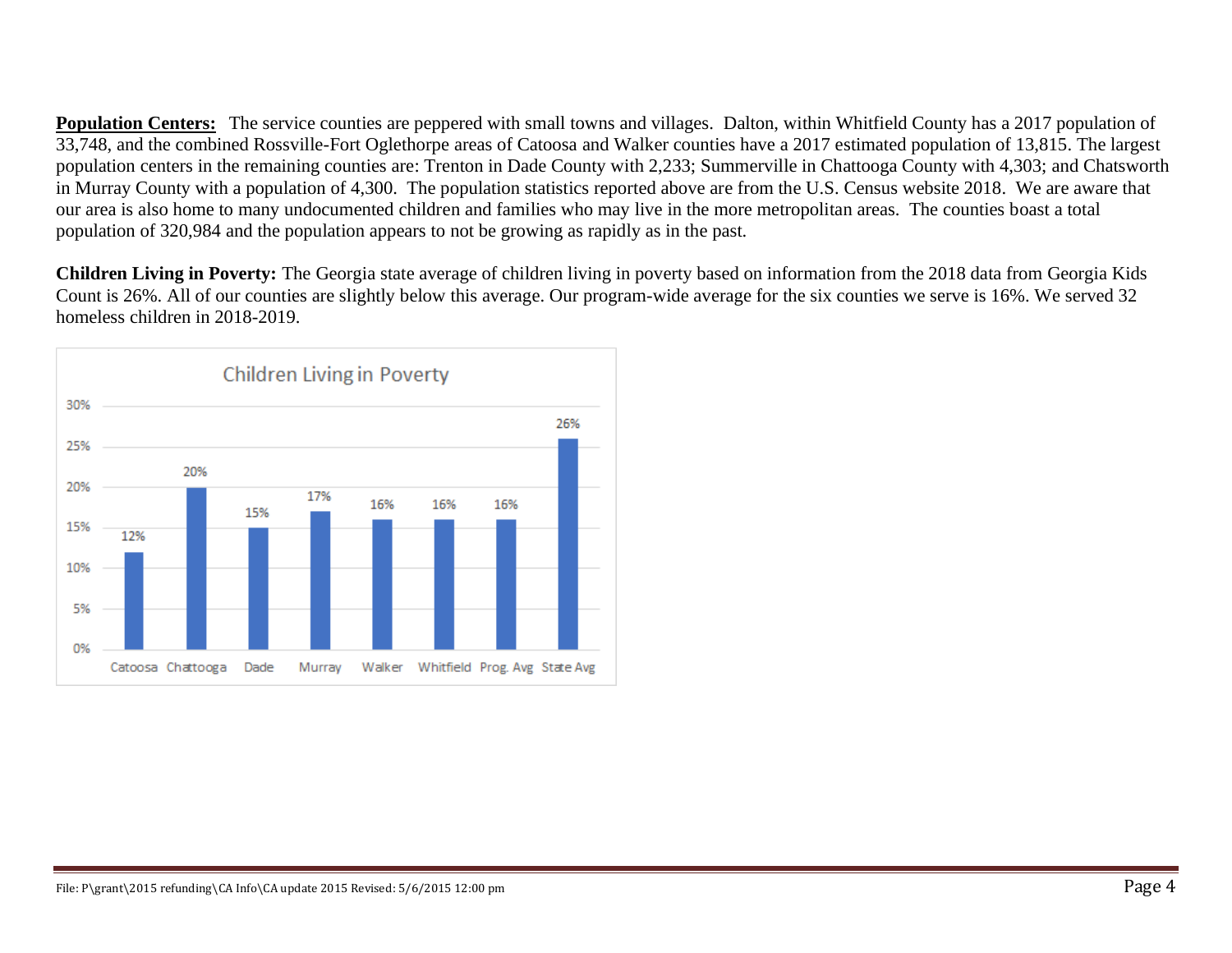**Population Centers:** The service counties are peppered with small towns and villages. Dalton, within Whitfield County has a 2017 population of 33,748, and the combined Rossville-Fort Oglethorpe areas of Catoosa and Walker counties have a 2017 estimated population of 13,815. The largest population centers in the remaining counties are: Trenton in Dade County with 2,233; Summerville in Chattooga County with 4,303; and Chatsworth in Murray County with a population of 4,300. The population statistics reported above are from the U.S. Census website 2018. We are aware that our area is also home to many undocumented children and families who may live in the more metropolitan areas. The counties boast a total population of 320,984 and the population appears to not be growing as rapidly as in the past.

**Children Living in Poverty:** The Georgia state average of children living in poverty based on information from the 2018 data from Georgia Kids Count is 26%. All of our counties are slightly below this average. Our program-wide average for the six counties we serve is 16%. We served 32 homeless children in 2018-2019.

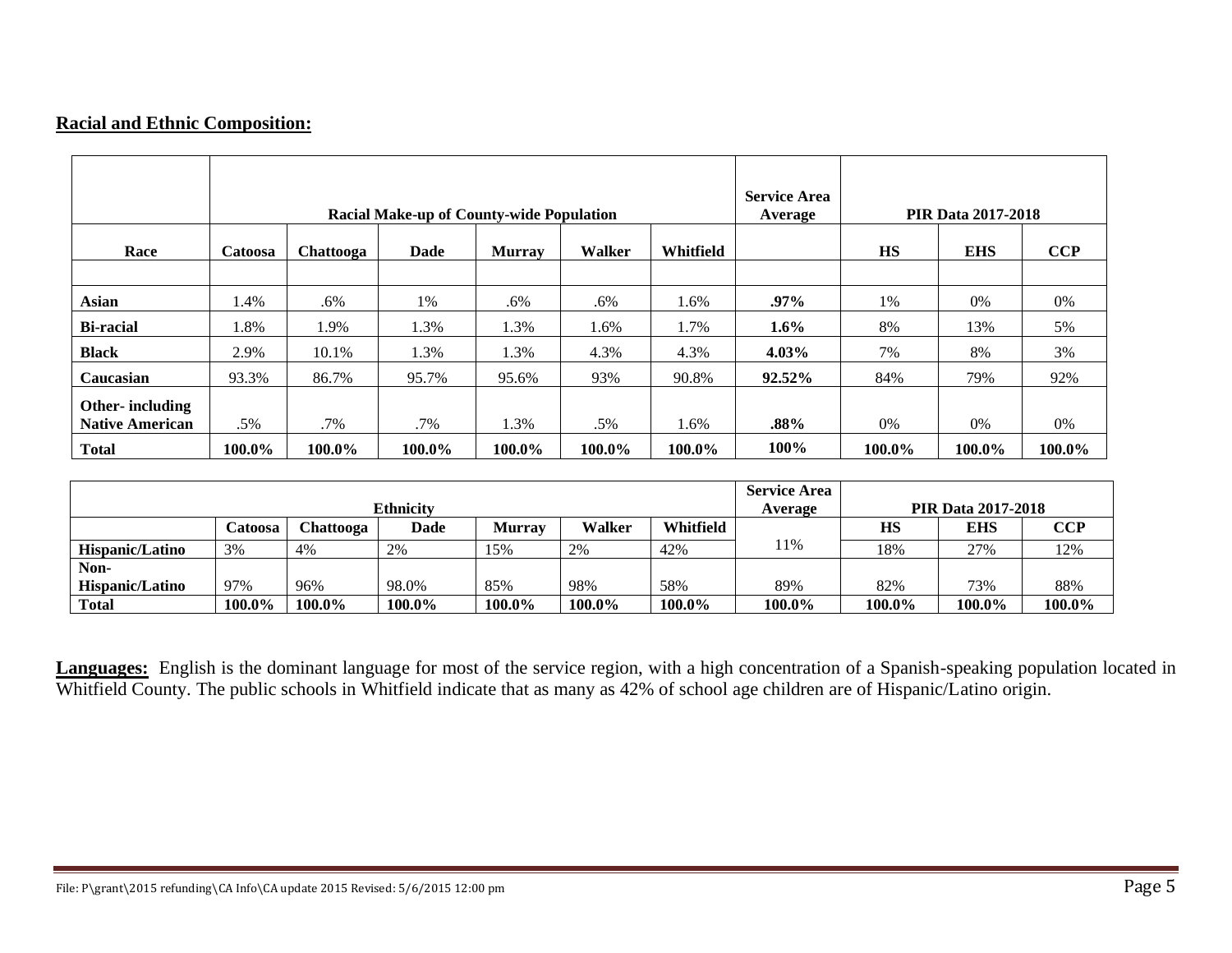### **Racial and Ethnic Composition:**

|                        |         |           | <b>Racial Make-up of County-wide Population</b> |               |        |           | <b>Service Area</b><br>Average |           | <b>PIR Data 2017-2018</b> |        |
|------------------------|---------|-----------|-------------------------------------------------|---------------|--------|-----------|--------------------------------|-----------|---------------------------|--------|
| Race                   | Catoosa | Chattooga | <b>Dade</b>                                     | <b>Murray</b> | Walker | Whitfield |                                | <b>HS</b> | <b>EHS</b>                | CCP    |
|                        |         |           |                                                 |               |        |           |                                |           |                           |        |
| <b>Asian</b>           | 1.4%    | .6%       | 1%                                              | .6%           | .6%    | 1.6%      | $.97\%$                        | 1%        | 0%                        | 0%     |
| <b>Bi-racial</b>       | 1.8%    | 1.9%      | 1.3%                                            | 1.3%          | 1.6%   | 1.7%      | $1.6\%$                        | 8%        | 13%                       | 5%     |
| <b>Black</b>           | 2.9%    | 10.1%     | 1.3%                                            | 1.3%          | 4.3%   | 4.3%      | $4.03\%$                       | 7%        | 8%                        | 3%     |
| Caucasian              | 93.3%   | 86.7%     | 95.7%                                           | 95.6%         | 93%    | 90.8%     | 92.52%                         | 84%       | 79%                       | 92%    |
| Other-including        |         |           |                                                 |               |        |           |                                |           |                           |        |
| <b>Native American</b> | .5%     | .7%       | $.7\%$                                          | .3%           | .5%    | 1.6%      | $.88\%$                        | 0%        | 0%                        | 0%     |
| <b>Total</b>           | 100.0%  | 100.0%    | 100.0%                                          | 100.0%        | 100.0% | 100.0%    | 100%                           | 100.0%    | 100.0%                    | 100.0% |

|                 |         |           | <b>Ethnicity</b> |               |               |           | <b>Service Area</b><br>Average |           | <b>PIR Data 2017-2018</b> |            |
|-----------------|---------|-----------|------------------|---------------|---------------|-----------|--------------------------------|-----------|---------------------------|------------|
|                 | Catoosa | Chattooga | <b>Dade</b>      | <b>Murrav</b> | <b>Walker</b> | Whitfield |                                | <b>HS</b> | <b>EHS</b>                | <b>CCP</b> |
| Hispanic/Latino | 3%      | 4%        | 2%               | 15%           | 2%            | 42%       | 1%                             | 18%       | 27%                       | 12%        |
| Non-            |         |           |                  |               |               |           |                                |           |                           |            |
| Hispanic/Latino | 97%     | 96%       | 98.0%            | 85%           | 98%           | 58%       | 89%                            | 82%       | 73%                       | 88%        |
| <b>Total</b>    | 100.0%  | 100.0%    | 100.0%           | 100.0%        | 100.0%        | 100.0%    | 100.0%                         | 100.0%    | 100.0%                    | 100.0%     |

**Languages:** English is the dominant language for most of the service region, with a high concentration of a Spanish-speaking population located in Whitfield County. The public schools in Whitfield indicate that as many as 42% of school age children are of Hispanic/Latino origin.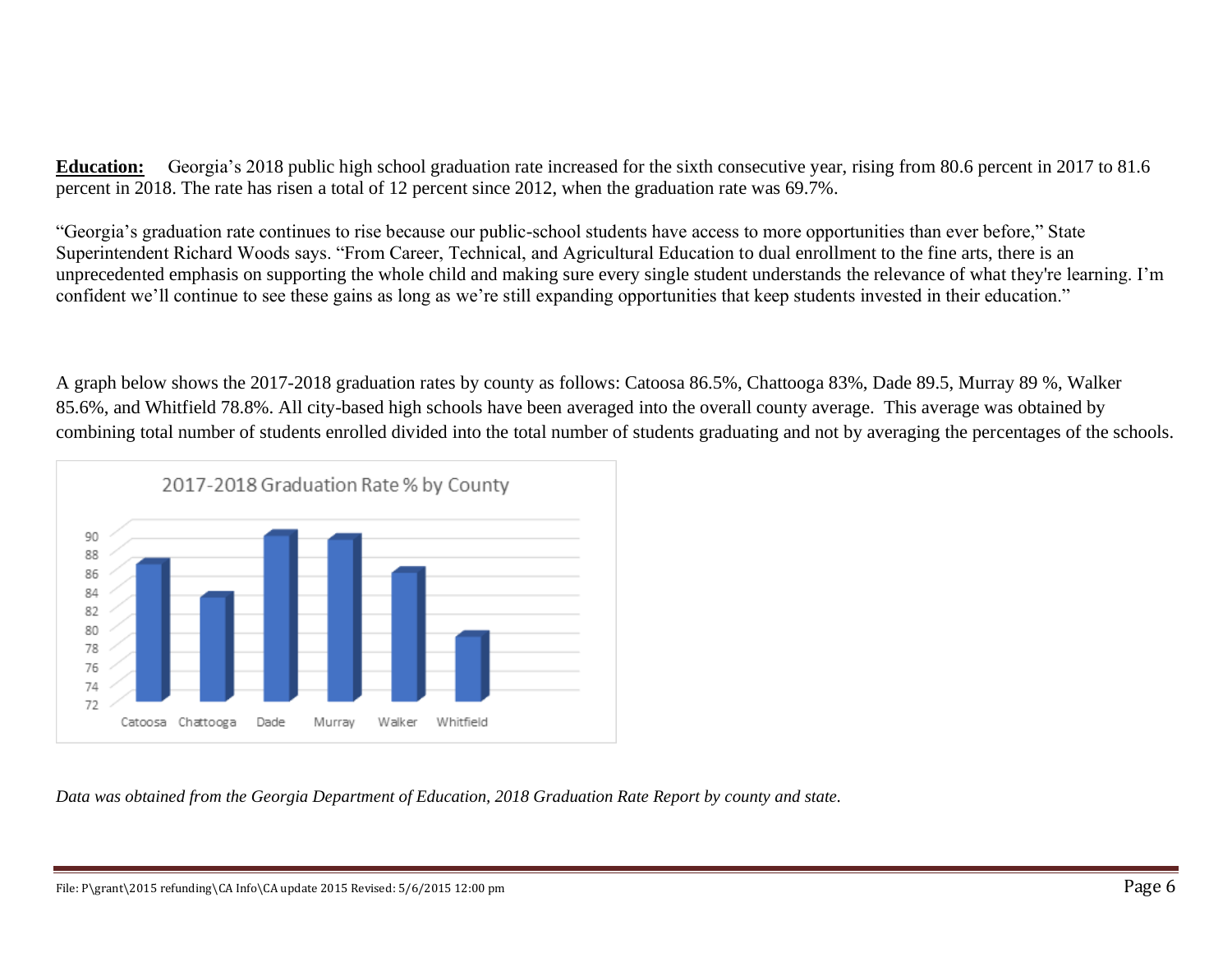**Education:** Georgia's 2018 public high school graduation rate increased for the sixth consecutive year, rising from 80.6 percent in 2017 to 81.6 percent in 2018. The rate has risen a total of 12 percent since 2012, when the graduation rate was 69.7%.

"Georgia's graduation rate continues to rise because our public-school students have access to more opportunities than ever before," State Superintendent Richard Woods says. "From Career, Technical, and Agricultural Education to dual enrollment to the fine arts, there is an unprecedented emphasis on supporting the whole child and making sure every single student understands the relevance of what they're learning. I'm confident we'll continue to see these gains as long as we're still expanding opportunities that keep students invested in their education."

A graph below shows the 2017-2018 graduation rates by county as follows: Catoosa 86.5%, Chattooga 83%, Dade 89.5, Murray 89 %, Walker 85.6%, and Whitfield 78.8%. All city-based high schools have been averaged into the overall county average. This average was obtained by combining total number of students enrolled divided into the total number of students graduating and not by averaging the percentages of the schools.



*Data was obtained from the Georgia Department of Education, 2018 Graduation Rate Report by county and state.*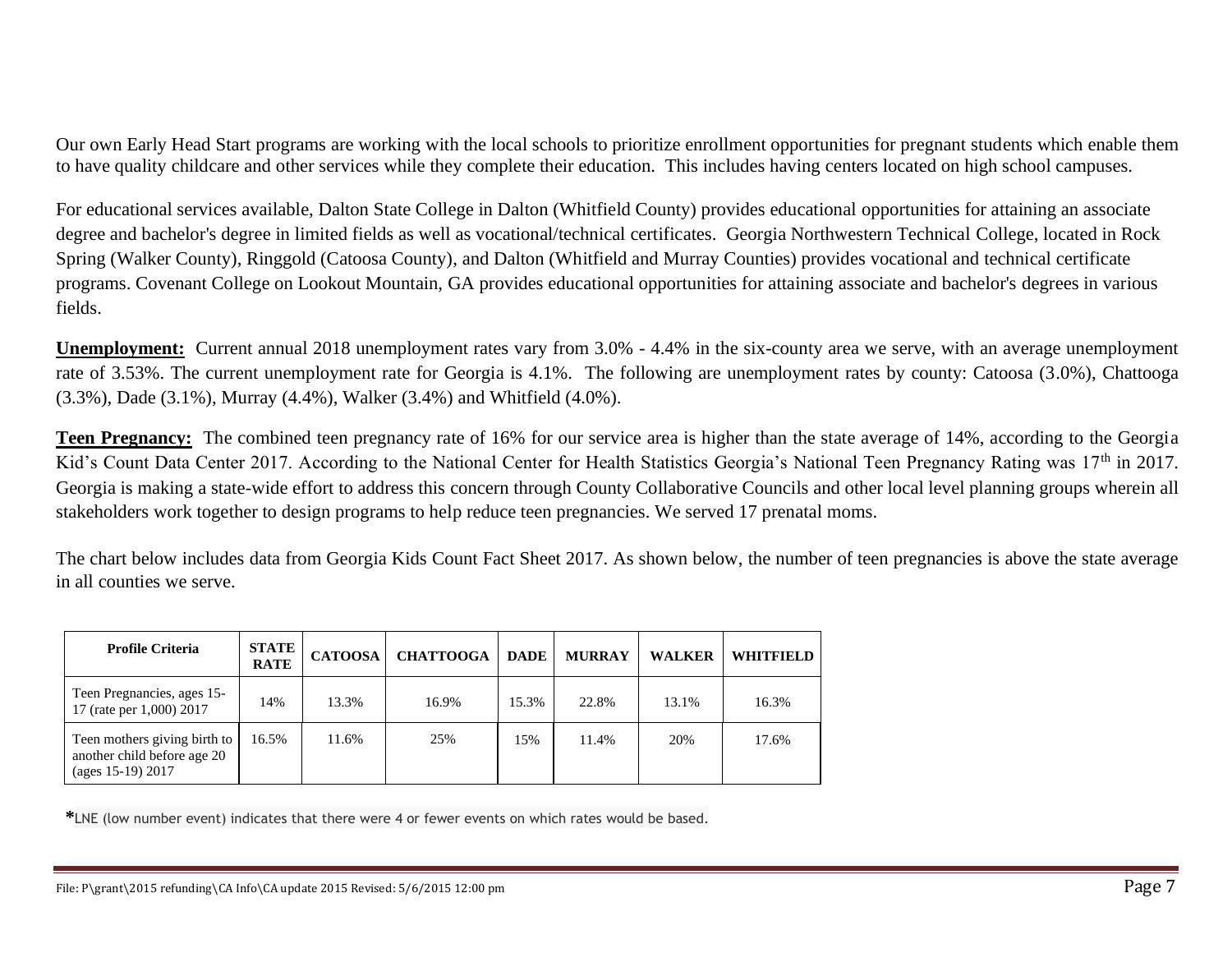Our own Early Head Start programs are working with the local schools to prioritize enrollment opportunities for pregnant students which enable them to have quality childcare and other services while they complete their education. This includes having centers located on high school campuses.

For educational services available, Dalton State College in Dalton (Whitfield County) provides educational opportunities for attaining an associate degree and bachelor's degree in limited fields as well as vocational/technical certificates. Georgia Northwestern Technical College, located in Rock Spring (Walker County), Ringgold (Catoosa County), and Dalton (Whitfield and Murray Counties) provides vocational and technical certificate programs. Covenant College on Lookout Mountain, GA provides educational opportunities for attaining associate and bachelor's degrees in various fields.

**Unemployment:** Current annual 2018 unemployment rates vary from 3.0% - 4.4% in the six-county area we serve, with an average unemployment rate of 3.53%. The current unemployment rate for Georgia is 4.1%. The following are unemployment rates by county: Catoosa (3.0%), Chattooga (3.3%), Dade (3.1%), Murray (4.4%), Walker (3.4%) and Whitfield (4.0%).

**Teen Pregnancy:** The combined teen pregnancy rate of 16% for our service area is higher than the state average of 14%, according to the Georgia Kid's Count Data Center 2017. According to the National Center for Health Statistics Georgia's National Teen Pregnancy Rating was 17<sup>th</sup> in 2017. Georgia is making a state-wide effort to address this concern through County Collaborative Councils and other local level planning groups wherein all stakeholders work together to design programs to help reduce teen pregnancies. We served 17 prenatal moms.

The chart below includes data from Georgia Kids Count Fact Sheet 2017. As shown below, the number of teen pregnancies is above the state average in all counties we serve.

| <b>Profile Criteria</b>                                                             | <b>STATE</b><br><b>RATE</b> | <b>CATOOSA</b> | <b>CHATTOOGA</b> | <b>DADE</b> | <b>MURRAY</b> | <b>WALKER</b> | <b>WHITFIELD</b> |
|-------------------------------------------------------------------------------------|-----------------------------|----------------|------------------|-------------|---------------|---------------|------------------|
| Teen Pregnancies, ages 15-<br>17 (rate per 1,000) 2017                              | 14%                         | 13.3%          | 16.9%            | 15.3%       | 22.8%         | 13.1%         | 16.3%            |
| Teen mothers giving birth to<br>another child before age 20<br>(ages $15-19$ ) 2017 | 16.5%                       | 11.6%          | 25%              | 15%         | 11.4%         | 20%           | 17.6%            |

 **\***LNE (low number event) indicates that there were 4 or fewer events on which rates would be based.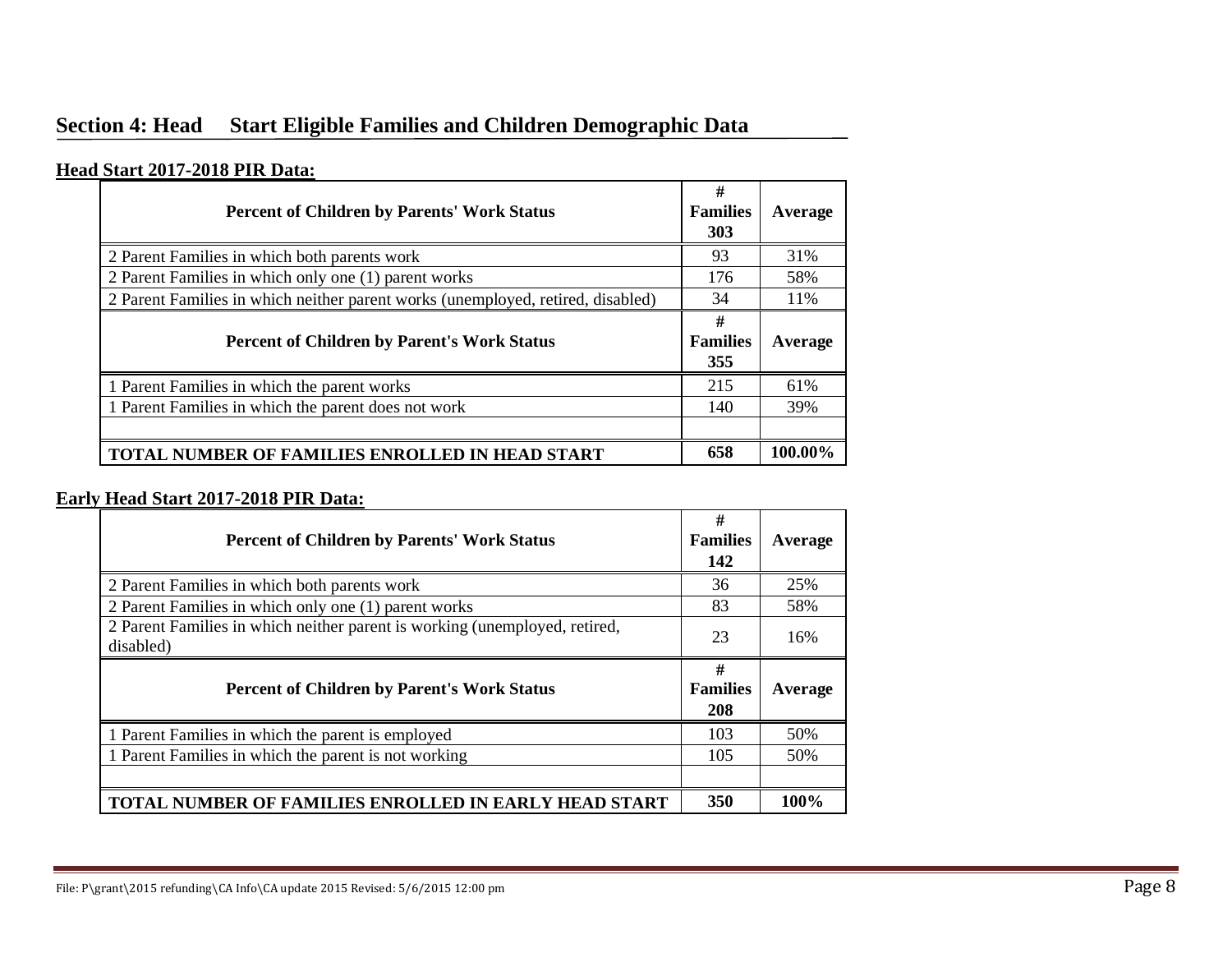# **Section 4: Head Start Eligible Families and Children Demographic Data**

#### **Head Start 2017-2018 PIR Data:**

| <b>Percent of Children by Parents' Work Status</b>                              | #<br><b>Families</b><br>303 | Average |
|---------------------------------------------------------------------------------|-----------------------------|---------|
| 2 Parent Families in which both parents work                                    | 93                          | 31%     |
| 2 Parent Families in which only one (1) parent works                            | 176                         | 58%     |
| 2 Parent Families in which neither parent works (unemployed, retired, disabled) | 34                          | 11%     |
| <b>Percent of Children by Parent's Work Status</b>                              | #<br><b>Families</b>        | Average |
|                                                                                 | 355                         |         |
| 1 Parent Families in which the parent works                                     | 215                         | 61%     |
| 1 Parent Families in which the parent does not work                             | 140                         | 39%     |
|                                                                                 |                             |         |

#### **Early Head Start 2017-2018 PIR Data:**

| <b>Percent of Children by Parents' Work Status</b>                                      | #<br><b>Families</b><br>142 | Average |
|-----------------------------------------------------------------------------------------|-----------------------------|---------|
| 2 Parent Families in which both parents work                                            | 36                          | 25%     |
| 2 Parent Families in which only one (1) parent works                                    | 83                          | 58%     |
| 2 Parent Families in which neither parent is working (unemployed, retired,<br>disabled) | 23                          | 16%     |
| <b>Percent of Children by Parent's Work Status</b>                                      | #<br><b>Families</b><br>208 | Average |
| 1 Parent Families in which the parent is employed                                       | 103                         | 50%     |
| 1 Parent Families in which the parent is not working                                    | 105                         | 50%     |
|                                                                                         |                             |         |
| <b>TOTAL NUMBER OF FAMILIES ENROLLED IN EARLY HEAD START</b>                            | 350                         | 100%    |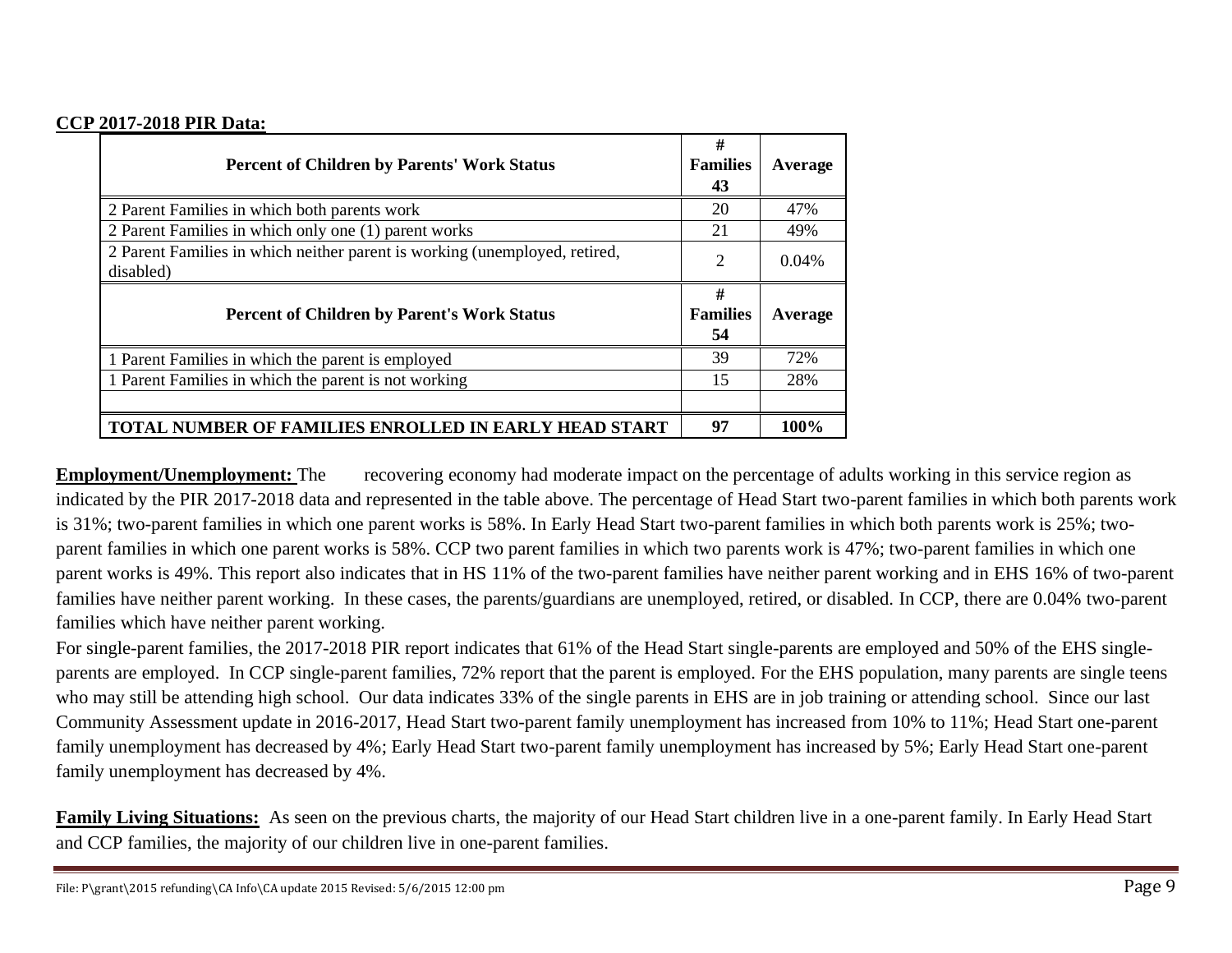#### **CCP 2017-2018 PIR Data:**

| <b>Percent of Children by Parents' Work Status</b>                                      | #<br><b>Families</b><br>43 | Average  |
|-----------------------------------------------------------------------------------------|----------------------------|----------|
| 2 Parent Families in which both parents work                                            | 20                         | 47%      |
| 2 Parent Families in which only one (1) parent works                                    | 21                         | 49%      |
| 2 Parent Families in which neither parent is working (unemployed, retired,<br>disabled) | $\overline{2}$             | $0.04\%$ |
| <b>Percent of Children by Parent's Work Status</b>                                      | #<br><b>Families</b><br>54 | Average  |
| 1 Parent Families in which the parent is employed                                       | 39                         | 72%      |
| 1 Parent Families in which the parent is not working                                    | 15                         | 28%      |
|                                                                                         |                            |          |
| <b>TOTAL NUMBER OF FAMILIES ENROLLED IN EARLY HEAD START</b>                            | 97                         | 100%     |

**Employment/Unemployment:** The recovering economy had moderate impact on the percentage of adults working in this service region as indicated by the PIR 2017-2018 data and represented in the table above. The percentage of Head Start two-parent families in which both parents work is 31%; two-parent families in which one parent works is 58%. In Early Head Start two-parent families in which both parents work is 25%; twoparent families in which one parent works is 58%. CCP two parent families in which two parents work is 47%; two-parent families in which one parent works is 49%. This report also indicates that in HS 11% of the two-parent families have neither parent working and in EHS 16% of two-parent families have neither parent working. In these cases, the parents/guardians are unemployed, retired, or disabled. In CCP, there are 0.04% two-parent families which have neither parent working.

For single-parent families, the 2017-2018 PIR report indicates that 61% of the Head Start single-parents are employed and 50% of the EHS singleparents are employed. In CCP single-parent families, 72% report that the parent is employed. For the EHS population, many parents are single teens who may still be attending high school. Our data indicates 33% of the single parents in EHS are in job training or attending school. Since our last Community Assessment update in 2016-2017, Head Start two-parent family unemployment has increased from 10% to 11%; Head Start one-parent family unemployment has decreased by 4%; Early Head Start two-parent family unemployment has increased by 5%; Early Head Start one-parent family unemployment has decreased by 4%.

**Family Living Situations:** As seen on the previous charts, the majority of our Head Start children live in a one-parent family. In Early Head Start and CCP families, the majority of our children live in one-parent families.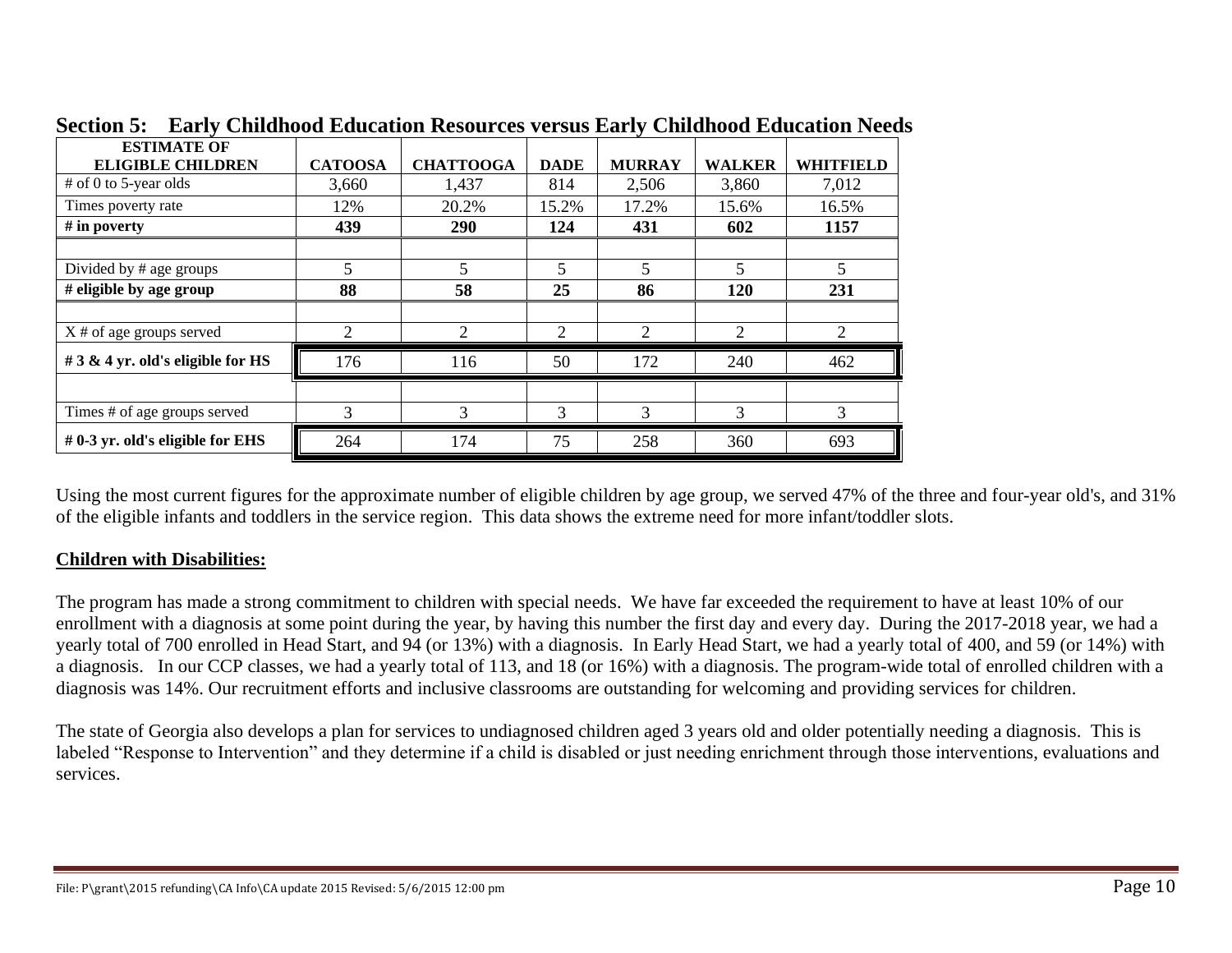| <b>ESTIMATE OF</b>                 |                |                  |                         |               |                |                             |
|------------------------------------|----------------|------------------|-------------------------|---------------|----------------|-----------------------------|
| <b>ELIGIBLE CHILDREN</b>           | <b>CATOOSA</b> | <b>CHATTOOGA</b> | <b>DADE</b>             | <b>MURRAY</b> | <b>WALKER</b>  | <b>WHITFIELD</b>            |
| $#$ of 0 to 5-year olds            | 3,660          | 1,437            | 814                     | 2,506         | 3,860          | 7,012                       |
| Times poverty rate                 | 12%            | 20.2%            | 15.2%                   | 17.2%         | 15.6%          | 16.5%                       |
| # in poverty                       | 439            | 290              | 124                     | 431           | 602            | 1157                        |
|                                    |                |                  |                         |               |                |                             |
| Divided by # age groups            | 5              | 5                | $\overline{\mathbf{5}}$ | 5             | $\overline{5}$ |                             |
| $#$ eligible by age group          | 88             | 58               | 25                      | 86            | 120            | 231                         |
|                                    |                |                  |                         |               |                |                             |
| $X \#$ of age groups served        | 2              | 2                | $\overline{2}$          | 2             | $\overline{c}$ | $\mathcal{D}_{\mathcal{L}}$ |
| # 3 & 4 yr. old's eligible for HS  | 176            | 116              | 50                      | 172           | 240            | 462                         |
|                                    |                |                  |                         |               |                |                             |
| Times # of age groups served       | 3              | 3                | 3                       | 3             | 3              | 3                           |
| $# 0-3$ yr. old's eligible for EHS | 264            | 174              | 75                      | 258           | 360            | 693                         |

**Section 5: Early Childhood Education Resources versus Early Childhood Education Needs**

Using the most current figures for the approximate number of eligible children by age group, we served 47% of the three and four-year old's, and 31% of the eligible infants and toddlers in the service region. This data shows the extreme need for more infant/toddler slots.

### **Children with Disabilities:**

The program has made a strong commitment to children with special needs. We have far exceeded the requirement to have at least 10% of our enrollment with a diagnosis at some point during the year, by having this number the first day and every day. During the 2017-2018 year, we had a yearly total of 700 enrolled in Head Start, and 94 (or 13%) with a diagnosis. In Early Head Start, we had a yearly total of 400, and 59 (or 14%) with a diagnosis. In our CCP classes, we had a yearly total of 113, and 18 (or 16%) with a diagnosis. The program-wide total of enrolled children with a diagnosis was 14%. Our recruitment efforts and inclusive classrooms are outstanding for welcoming and providing services for children.

The state of Georgia also develops a plan for services to undiagnosed children aged 3 years old and older potentially needing a diagnosis. This is labeled "Response to Intervention" and they determine if a child is disabled or just needing enrichment through those interventions, evaluations and services.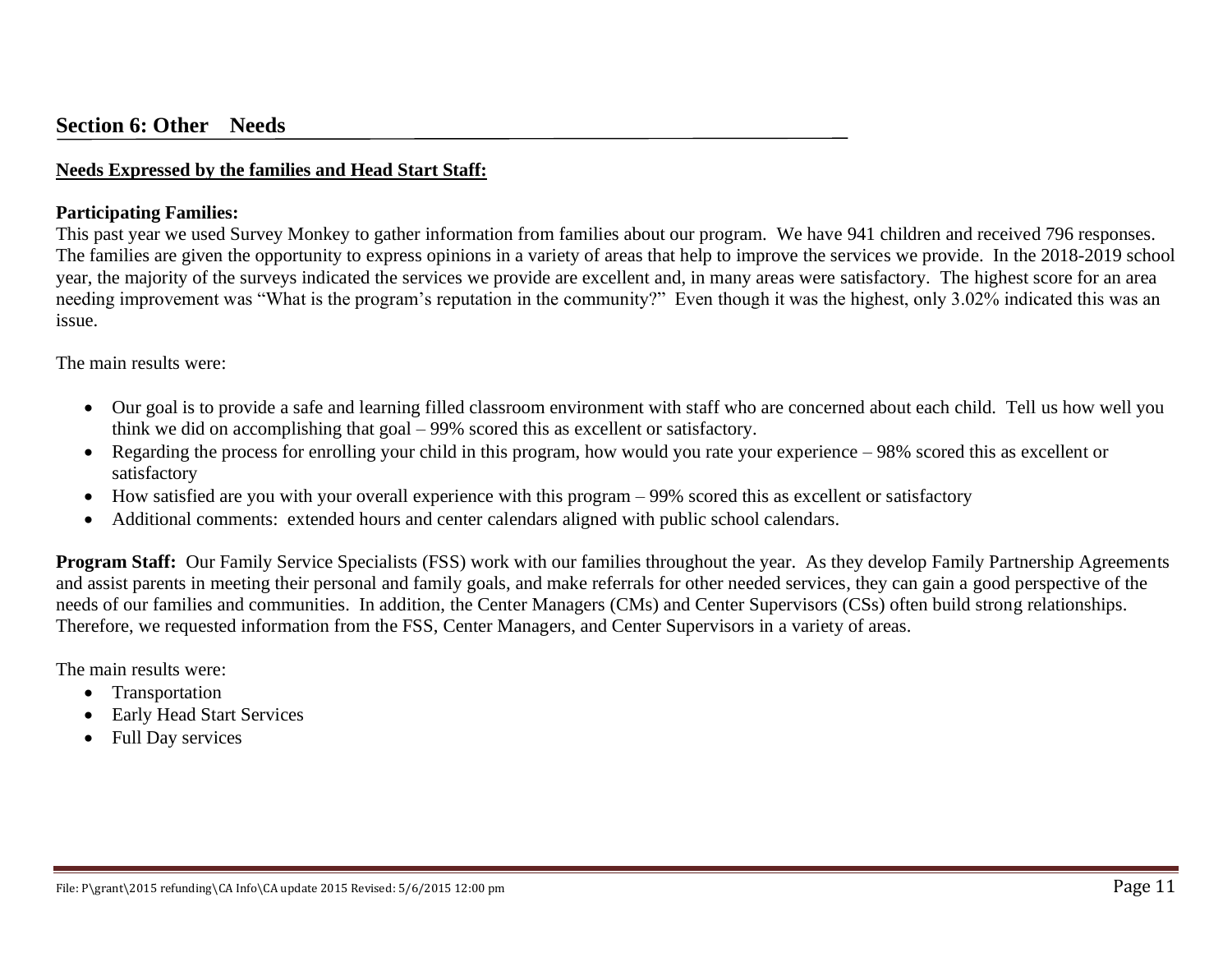#### **Needs Expressed by the families and Head Start Staff:**

#### **Participating Families:**

This past year we used Survey Monkey to gather information from families about our program. We have 941 children and received 796 responses. The families are given the opportunity to express opinions in a variety of areas that help to improve the services we provide. In the 2018-2019 school year, the majority of the surveys indicated the services we provide are excellent and, in many areas were satisfactory. The highest score for an area needing improvement was "What is the program's reputation in the community?" Even though it was the highest, only 3.02% indicated this was an issue.

The main results were:

- Our goal is to provide a safe and learning filled classroom environment with staff who are concerned about each child. Tell us how well you think we did on accomplishing that goal – 99% scored this as excellent or satisfactory.
- Regarding the process for enrolling your child in this program, how would you rate your experience 98% scored this as excellent or satisfactory
- How satisfied are you with your overall experience with this program 99% scored this as excellent or satisfactory
- Additional comments: extended hours and center calendars aligned with public school calendars.

**Program Staff:** Our Family Service Specialists (FSS) work with our families throughout the year. As they develop Family Partnership Agreements and assist parents in meeting their personal and family goals, and make referrals for other needed services, they can gain a good perspective of the needs of our families and communities. In addition, the Center Managers (CMs) and Center Supervisors (CSs) often build strong relationships. Therefore, we requested information from the FSS, Center Managers, and Center Supervisors in a variety of areas.

The main results were:

- Transportation
- Early Head Start Services
- Full Day services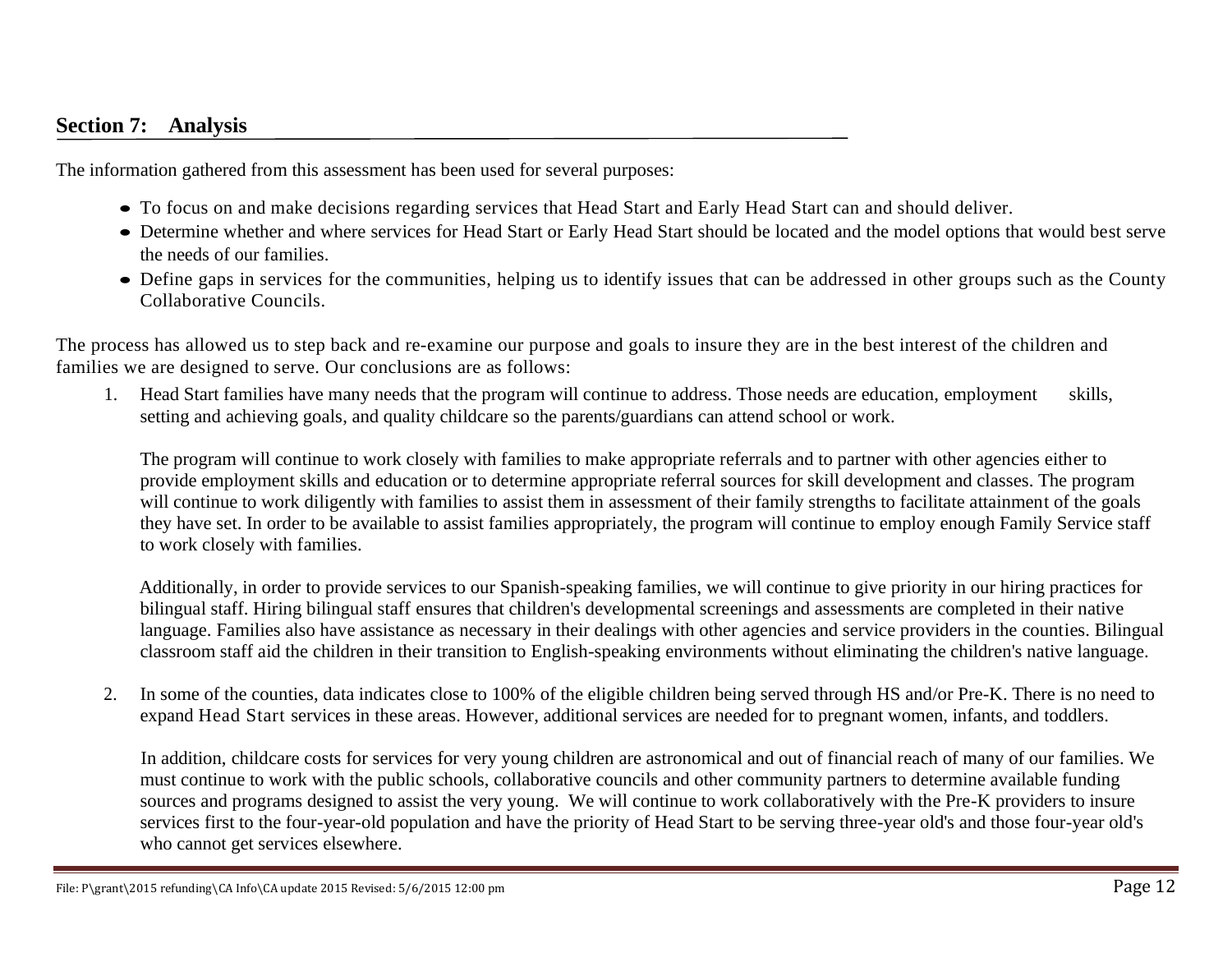## **Section 7: Analysis**

The information gathered from this assessment has been used for several purposes:

- To focus on and make decisions regarding services that Head Start and Early Head Start can and should deliver.
- Determine whether and where services for Head Start or Early Head Start should be located and the model options that would best serve the needs of our families.
- Define gaps in services for the communities, helping us to identify issues that can be addressed in other groups such as the County Collaborative Councils.

The process has allowed us to step back and re-examine our purpose and goals to insure they are in the best interest of the children and families we are designed to serve. Our conclusions are as follows:

1. Head Start families have many needs that the program will continue to address. Those needs are education, employment skills, setting and achieving goals, and quality childcare so the parents/guardians can attend school or work.

The program will continue to work closely with families to make appropriate referrals and to partner with other agencies either to provide employment skills and education or to determine appropriate referral sources for skill development and classes. The program will continue to work diligently with families to assist them in assessment of their family strengths to facilitate attainment of the goals they have set. In order to be available to assist families appropriately, the program will continue to employ enough Family Service staff to work closely with families.

Additionally, in order to provide services to our Spanish-speaking families, we will continue to give priority in our hiring practices for bilingual staff. Hiring bilingual staff ensures that children's developmental screenings and assessments are completed in their native language. Families also have assistance as necessary in their dealings with other agencies and service providers in the counties. Bilingual classroom staff aid the children in their transition to English-speaking environments without eliminating the children's native language.

2. In some of the counties, data indicates close to 100% of the eligible children being served through HS and/or Pre-K. There is no need to expand Head Start services in these areas. However, additional services are needed for to pregnant women, infants, and toddlers.

In addition, childcare costs for services for very young children are astronomical and out of financial reach of many of our families. We must continue to work with the public schools, collaborative councils and other community partners to determine available funding sources and programs designed to assist the very young. We will continue to work collaboratively with the Pre-K providers to insure services first to the four-year-old population and have the priority of Head Start to be serving three-year old's and those four-year old's who cannot get services elsewhere.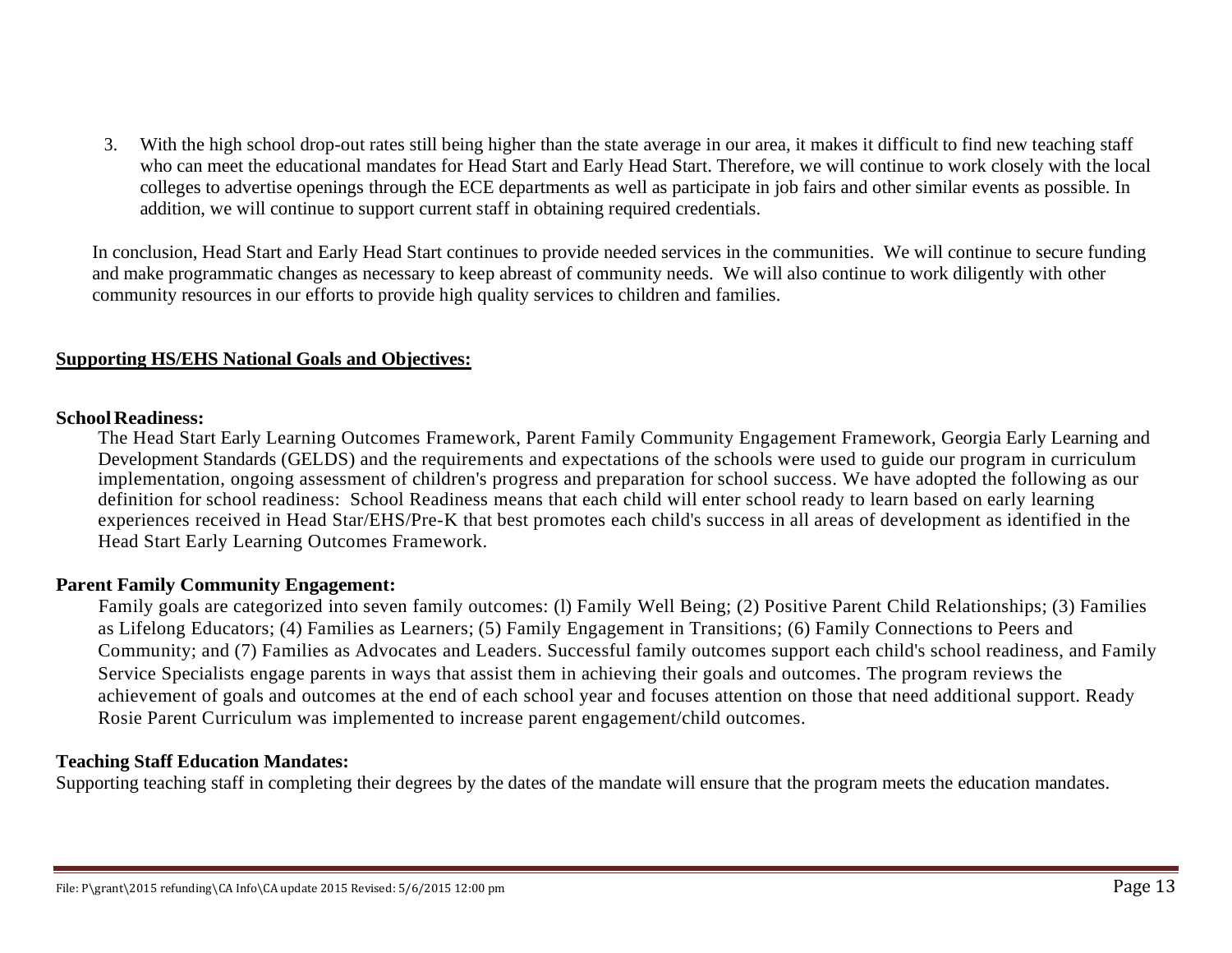3. With the high school drop-out rates still being higher than the state average in our area, it makes it difficult to find new teaching staff who can meet the educational mandates for Head Start and Early Head Start. Therefore, we will continue to work closely with the local colleges to advertise openings through the ECE departments as well as participate in job fairs and other similar events as possible. In addition, we will continue to support current staff in obtaining required credentials.

In conclusion, Head Start and Early Head Start continues to provide needed services in the communities. We will continue to secure funding and make programmatic changes as necessary to keep abreast of community needs. We will also continue to work diligently with other community resources in our efforts to provide high quality services to children and families.

#### **Supporting HS/EHS National Goals and Objectives:**

#### **SchoolReadiness:**

The Head Start Early Learning Outcomes Framework, Parent Family Community Engagement Framework, Georgia Early Learning and Development Standards (GELDS) and the requirements and expectations of the schools were used to guide our program in curriculum implementation, ongoing assessment of children's progress and preparation for school success. We have adopted the following as our definition for school readiness: School Readiness means that each child will enter school ready to learn based on early learning experiences received in Head Star/EHS/Pre-K that best promotes each child's success in all areas of development as identified in the Head Start Early Learning Outcomes Framework.

#### **Parent Family Community Engagement:**

Family goals are categorized into seven family outcomes: (l) Family Well Being; (2) Positive Parent Child Relationships; (3) Families as Lifelong Educators; (4) Families as Learners; (5) Family Engagement in Transitions; (6) Family Connections to Peers and Community; and (7) Families as Advocates and Leaders. Successful family outcomes support each child's school readiness, and Family Service Specialists engage parents in ways that assist them in achieving their goals and outcomes. The program reviews the achievement of goals and outcomes at the end of each school year and focuses attention on those that need additional support. Ready Rosie Parent Curriculum was implemented to increase parent engagement/child outcomes.

#### **Teaching Staff Education Mandates:**

Supporting teaching staff in completing their degrees by the dates of the mandate will ensure that the program meets the education mandates.